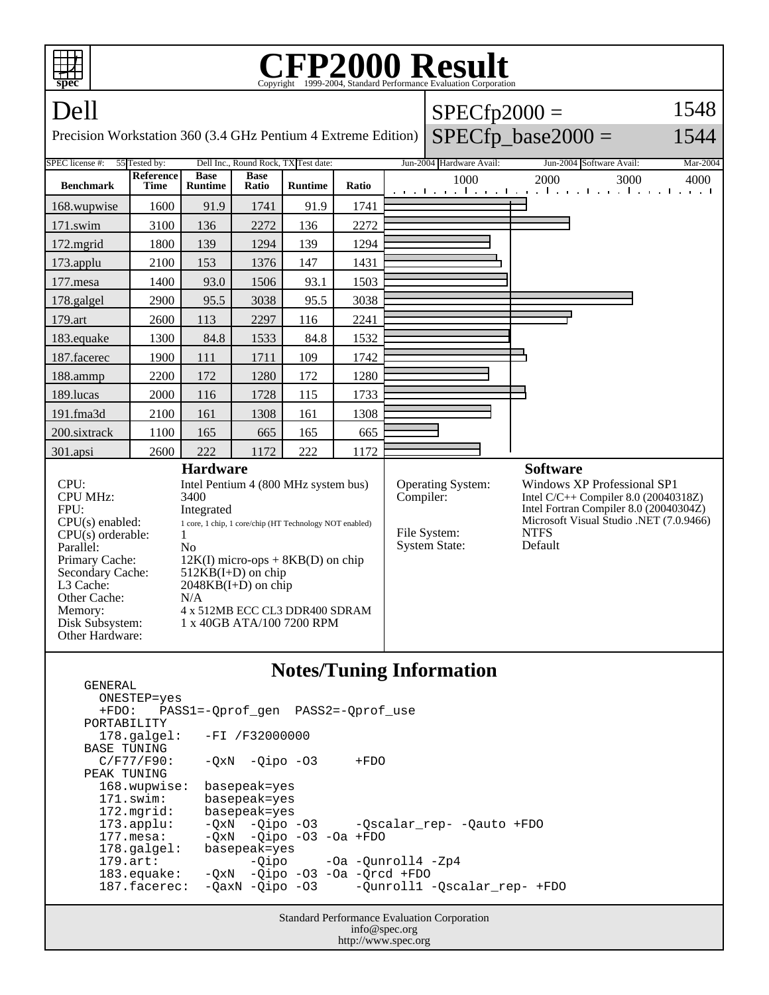

## **Notes/Tuning Information**

Standard Performance Evaluation Corporation info@spec.org ONESTEP=yes +FDO: PASS1=-Qprof\_gen PASS2=-Qprof\_use PORTABILITY 178.galgel: -FI /F32000000 BASE TUNING<br>C/F77/F90:  $-QxN$  -Qipo -O3 +FDO PEAK TUNING<br>168.wupwise: basepeak=yes 171.swim: basepeak=yes 172.mgrid: basepeak=yes 173.applu: -QxN -Qipo -O3 -Qscalar\_rep- -Qauto +FDO 177.mesa: - QxN - Qipo - 03 - Oa + FDO<br>178.galgel: basepeak= yes 178.galgel: basepeak=yes<br>179.art: -Qipo -Qipo -Oa -Qunroll4 -Zp4 183.equake: -QxN -Qipo -O3 -Oa -Qrcd +FDO -Qunroll1 -Qscalar\_rep- +FDO

GENERAL

http://www.spec.org